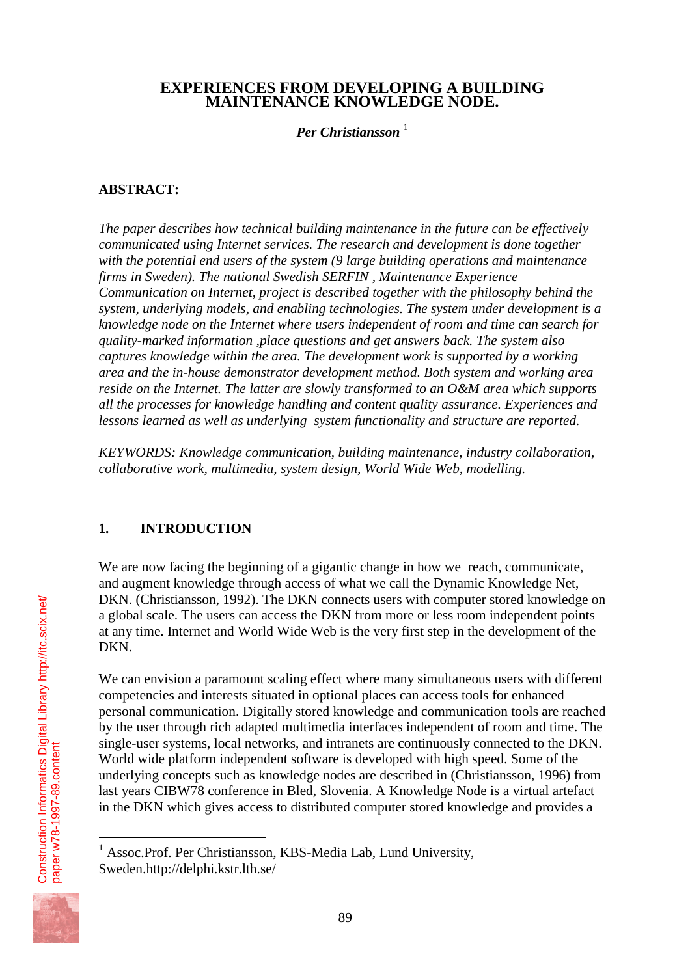## **EXPERIENCES FROM DEVELOPING A BUILDING MAINTENANCE KNOWLEDGE NODE.**

## *Per Christiansson* <sup>1</sup>

## **ABSTRACT:**

*The paper describes how technical building maintenance in the future can be effectively communicated using Internet services. The research and development is done together with the potential end users of the system (9 large building operations and maintenance firms in Sweden). The national Swedish SERFIN , Maintenance Experience Communication on Internet, project is described together with the philosophy behind the system, underlying models, and enabling technologies. The system under development is a knowledge node on the Internet where users independent of room and time can search for quality-marked information ,place questions and get answers back. The system also captures knowledge within the area. The development work is supported by a working area and the in-house demonstrator development method. Both system and working area reside on the Internet. The latter are slowly transformed to an O&M area which supports all the processes for knowledge handling and content quality assurance. Experiences and lessons learned as well as underlying system functionality and structure are reported.*

*KEYWORDS: Knowledge communication, building maintenance, industry collaboration, collaborative work, multimedia, system design, World Wide Web, modelling.* 

## **1. INTRODUCTION**

We are now facing the beginning of a gigantic change in how we reach, communicate, and augment knowledge through access of what we call the Dynamic Knowledge Net, DKN. (Christiansson, 1992). The DKN connects users with computer stored knowledge on a global scale. The users can access the DKN from more or less room independent points at any time. Internet and World Wide Web is the very first step in the development of the DKN.

We can envision a paramount scaling effect where many simultaneous users with different competencies and interests situated in optional places can access tools for enhanced personal communication. Digitally stored knowledge and communication tools are reached by the user through rich adapted multimedia interfaces independent of room and time. The single-user systems, local networks, and intranets are continuously connected to the DKN. World wide platform independent software is developed with high speed. Some of the underlying concepts such as knowledge nodes are described in (Christiansson, 1996) from last years CIBW78 conference in Bled, Slovenia. A Knowledge Node is a virtual artefact in the DKN which gives access to distributed computer stored knowledge and provides a

 1 Assoc.Prof. Per Christiansson, KBS-Media Lab, Lund University, Sweden.http://delphi.kstr.lth.se/



[paper w78-1997-89.content](http://itc.scix.net/id.cgi/w78-1997-89.content)

paper w78-1997-89.content

[Construction Informatics Digital Library http://itc.scix.net/](http://itc.scix.net/)

Construction Informatics Digital Library http://itc.scix.net/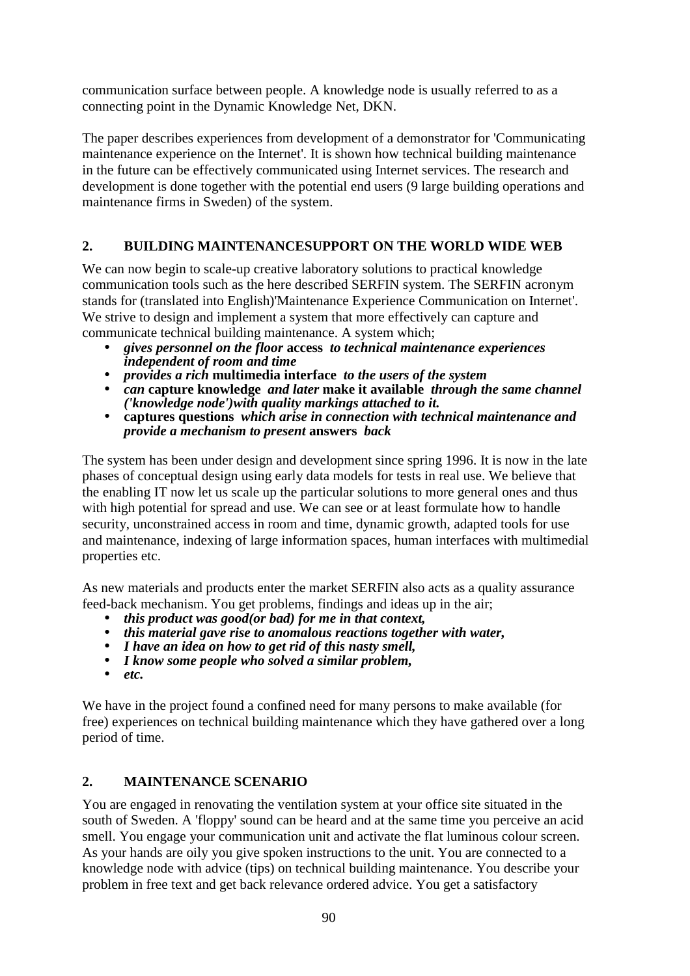communication surface between people. A knowledge node is usually referred to as a connecting point in the Dynamic Knowledge Net, DKN.

The paper describes experiences from development of a demonstrator for 'Communicating maintenance experience on the Internet'. It is shown how technical building maintenance in the future can be effectively communicated using Internet services. The research and development is done together with the potential end users (9 large building operations and maintenance firms in Sweden) of the system.

# **2. BUILDING MAINTENANCESUPPORT ON THE WORLD WIDE WEB**

We can now begin to scale-up creative laboratory solutions to practical knowledge communication tools such as the here described SERFIN system. The SERFIN acronym stands for (translated into English)'Maintenance Experience Communication on Internet'. We strive to design and implement a system that more effectively can capture and communicate technical building maintenance. A system which;

- *gives personnel on the floor* **access** *to technical maintenance experiences independent of room and time*
- *provides a rich* **multimedia interface** *to the users of the system*
- *can* **capture knowledge** *and later* **make it available** *through the same channel ('knowledge node')with quality markings attached to it.*
- **captures questions** *which arise in connection with technical maintenance and provide a mechanism to present* **answers** *back*

The system has been under design and development since spring 1996. It is now in the late phases of conceptual design using early data models for tests in real use. We believe that the enabling IT now let us scale up the particular solutions to more general ones and thus with high potential for spread and use. We can see or at least formulate how to handle security, unconstrained access in room and time, dynamic growth, adapted tools for use and maintenance, indexing of large information spaces, human interfaces with multimedial properties etc.

As new materials and products enter the market SERFIN also acts as a quality assurance feed-back mechanism. You get problems, findings and ideas up in the air;

- *this product was good(or bad) for me in that context,*
- *this material gave rise to anomalous reactions together with water,*
- *I have an idea on how to get rid of this nasty smell,*
- *I know some people who solved a similar problem,*
- *etc.*

We have in the project found a confined need for many persons to make available (for free) experiences on technical building maintenance which they have gathered over a long period of time.

# **2. MAINTENANCE SCENARIO**

You are engaged in renovating the ventilation system at your office site situated in the south of Sweden. A 'floppy' sound can be heard and at the same time you perceive an acid smell. You engage your communication unit and activate the flat luminous colour screen. As your hands are oily you give spoken instructions to the unit. You are connected to a knowledge node with advice (tips) on technical building maintenance. You describe your problem in free text and get back relevance ordered advice. You get a satisfactory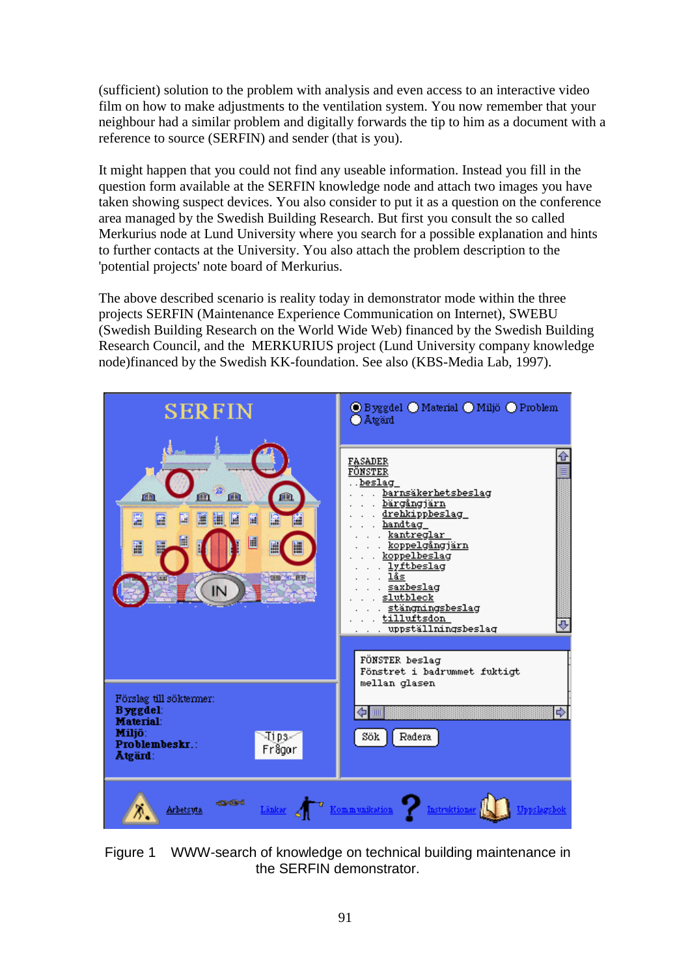(sufficient) solution to the problem with analysis and even access to an interactive video film on how to make adjustments to the ventilation system. You now remember that your neighbour had a similar problem and digitally forwards the tip to him as a document with a reference to source (SERFIN) and sender (that is you).

It might happen that you could not find any useable information. Instead you fill in the question form available at the SERFIN knowledge node and attach two images you have taken showing suspect devices. You also consider to put it as a question on the conference area managed by the Swedish Building Research. But first you consult the so called Merkurius node at Lund University where you search for a possible explanation and hints to further contacts at the University. You also attach the problem description to the 'potential projects' note board of Merkurius.

The above described scenario is reality today in demonstrator mode within the three projects SERFIN (Maintenance Experience Communication on Internet), SWEBU (Swedish Building Research on the World Wide Web) financed by the Swedish Building Research Council, and the MERKURIUS project (Lund University company knowledge node)financed by the Swedish KK-foundation. See also (KBS-Media Lab, 1997).



Figure 1 WWW-search of knowledge on technical building maintenance in the SERFIN demonstrator.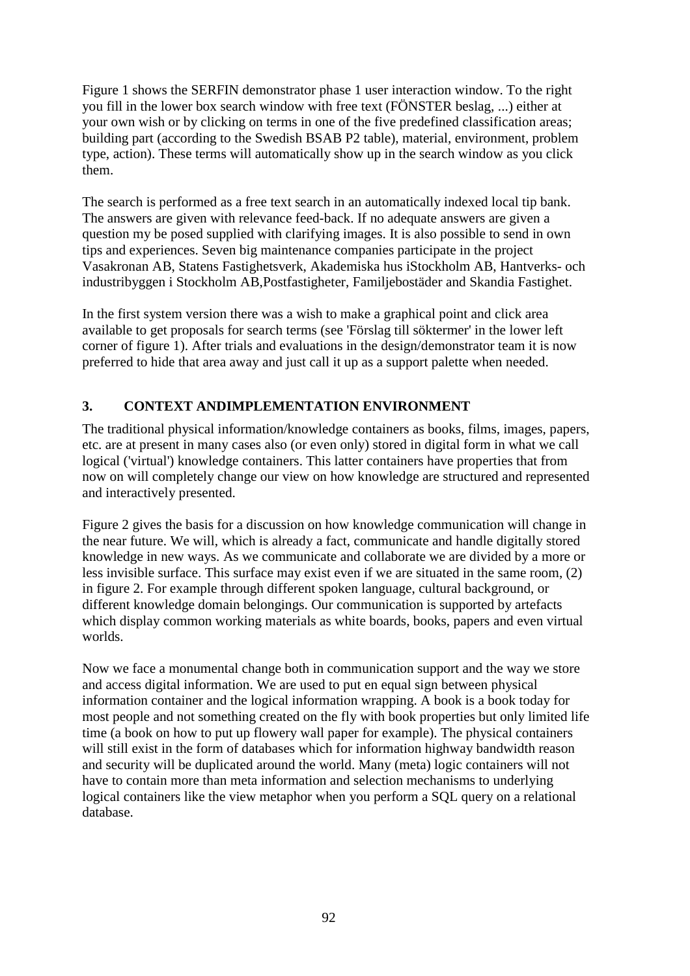Figure 1 shows the SERFIN demonstrator phase 1 user interaction window. To the right you fill in the lower box search window with free text (FÖNSTER beslag, ...) either at your own wish or by clicking on terms in one of the five predefined classification areas; building part (according to the Swedish BSAB P2 table), material, environment, problem type, action). These terms will automatically show up in the search window as you click them.

The search is performed as a free text search in an automatically indexed local tip bank. The answers are given with relevance feed-back. If no adequate answers are given a question my be posed supplied with clarifying images. It is also possible to send in own tips and experiences. Seven big maintenance companies participate in the project Vasakronan AB, Statens Fastighetsverk, Akademiska hus iStockholm AB, Hantverks- och industribyggen i Stockholm AB,Postfastigheter, Familjebostäder and Skandia Fastighet.

In the first system version there was a wish to make a graphical point and click area available to get proposals for search terms (see 'Förslag till söktermer' in the lower left corner of figure 1). After trials and evaluations in the design/demonstrator team it is now preferred to hide that area away and just call it up as a support palette when needed.

# **3. CONTEXT ANDIMPLEMENTATION ENVIRONMENT**

The traditional physical information/knowledge containers as books, films, images, papers, etc. are at present in many cases also (or even only) stored in digital form in what we call logical ('virtual') knowledge containers. This latter containers have properties that from now on will completely change our view on how knowledge are structured and represented and interactively presented.

Figure 2 gives the basis for a discussion on how knowledge communication will change in the near future. We will, which is already a fact, communicate and handle digitally stored knowledge in new ways. As we communicate and collaborate we are divided by a more or less invisible surface. This surface may exist even if we are situated in the same room, (2) in figure 2. For example through different spoken language, cultural background, or different knowledge domain belongings. Our communication is supported by artefacts which display common working materials as white boards, books, papers and even virtual worlds.

Now we face a monumental change both in communication support and the way we store and access digital information. We are used to put en equal sign between physical information container and the logical information wrapping. A book is a book today for most people and not something created on the fly with book properties but only limited life time (a book on how to put up flowery wall paper for example). The physical containers will still exist in the form of databases which for information highway bandwidth reason and security will be duplicated around the world. Many (meta) logic containers will not have to contain more than meta information and selection mechanisms to underlying logical containers like the view metaphor when you perform a SQL query on a relational database.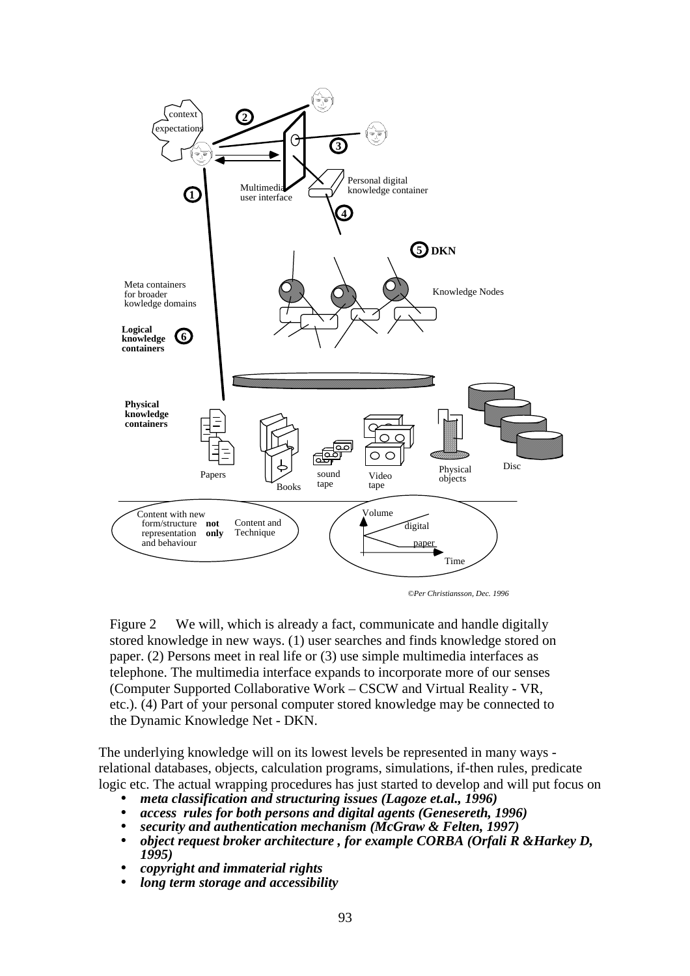

*©Per Christiansson, Dec. 1996*

Figure 2 We will, which is already a fact, communicate and handle digitally stored knowledge in new ways. (1) user searches and finds knowledge stored on paper. (2) Persons meet in real life or (3) use simple multimedia interfaces as telephone. The multimedia interface expands to incorporate more of our senses (Computer Supported Collaborative Work – CSCW and Virtual Reality - VR, etc.). (4) Part of your personal computer stored knowledge may be connected to the Dynamic Knowledge Net - DKN.

The underlying knowledge will on its lowest levels be represented in many ways relational databases, objects, calculation programs, simulations, if-then rules, predicate logic etc. The actual wrapping procedures has just started to develop and will put focus on

- *meta classification and structuring issues (Lagoze et.al., 1996)*
- *access rules for both persons and digital agents (Genesereth, 1996)*
- *security and authentication mechanism (McGraw & Felten, 1997)*
- *object request broker architecture , for example CORBA (Orfali R &Harkey D, 1995)*
- *copyright and immaterial rights*
- *long term storage and accessibility*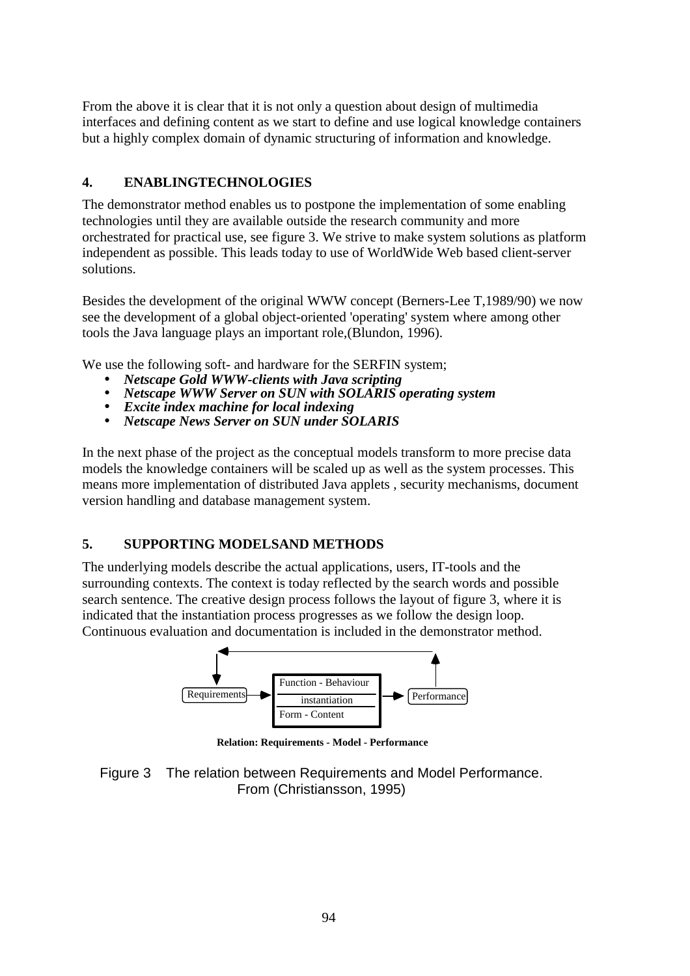From the above it is clear that it is not only a question about design of multimedia interfaces and defining content as we start to define and use logical knowledge containers but a highly complex domain of dynamic structuring of information and knowledge.

## **4. ENABLINGTECHNOLOGIES**

The demonstrator method enables us to postpone the implementation of some enabling technologies until they are available outside the research community and more orchestrated for practical use, see figure 3. We strive to make system solutions as platform independent as possible. This leads today to use of WorldWide Web based client-server solutions.

Besides the development of the original WWW concept (Berners-Lee T,1989/90) we now see the development of a global object-oriented 'operating' system where among other tools the Java language plays an important role,(Blundon, 1996).

We use the following soft- and hardware for the SERFIN system;

- *Netscape Gold WWW-clients with Java scripting*
- *Netscape WWW Server on SUN with SOLARIS operating system*
- *Excite index machine for local indexing*
- *Netscape News Server on SUN under SOLARIS*

In the next phase of the project as the conceptual models transform to more precise data models the knowledge containers will be scaled up as well as the system processes. This means more implementation of distributed Java applets , security mechanisms, document version handling and database management system.

## **5. SUPPORTING MODELSAND METHODS**

The underlying models describe the actual applications, users, IT-tools and the surrounding contexts. The context is today reflected by the search words and possible search sentence. The creative design process follows the layout of figure 3, where it is indicated that the instantiation process progresses as we follow the design loop. Continuous evaluation and documentation is included in the demonstrator method.

![](_page_5_Figure_12.jpeg)

**Relation: Requirements - Model - Performance**

![](_page_5_Figure_14.jpeg)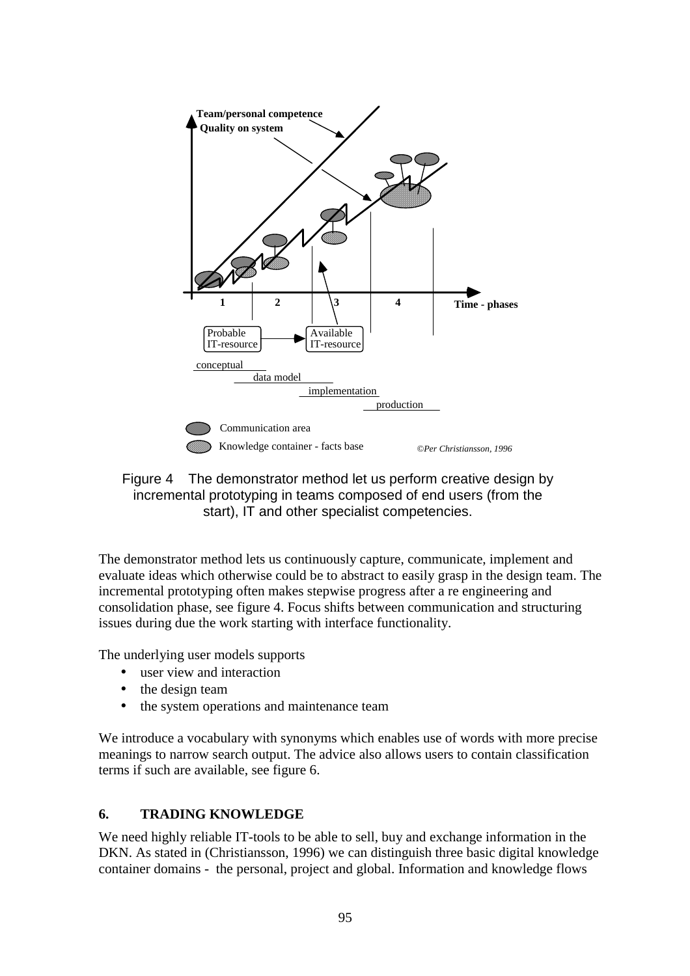![](_page_6_Figure_0.jpeg)

Figure 4 The demonstrator method let us perform creative design by incremental prototyping in teams composed of end users (from the start), IT and other specialist competencies.

The demonstrator method lets us continuously capture, communicate, implement and evaluate ideas which otherwise could be to abstract to easily grasp in the design team. The incremental prototyping often makes stepwise progress after a re engineering and consolidation phase, see figure 4. Focus shifts between communication and structuring issues during due the work starting with interface functionality.

The underlying user models supports

- user view and interaction
- the design team
- the system operations and maintenance team

We introduce a vocabulary with synonyms which enables use of words with more precise meanings to narrow search output. The advice also allows users to contain classification terms if such are available, see figure 6.

## **6. TRADING KNOWLEDGE**

We need highly reliable IT-tools to be able to sell, buy and exchange information in the DKN. As stated in (Christiansson, 1996) we can distinguish three basic digital knowledge container domains - the personal, project and global. Information and knowledge flows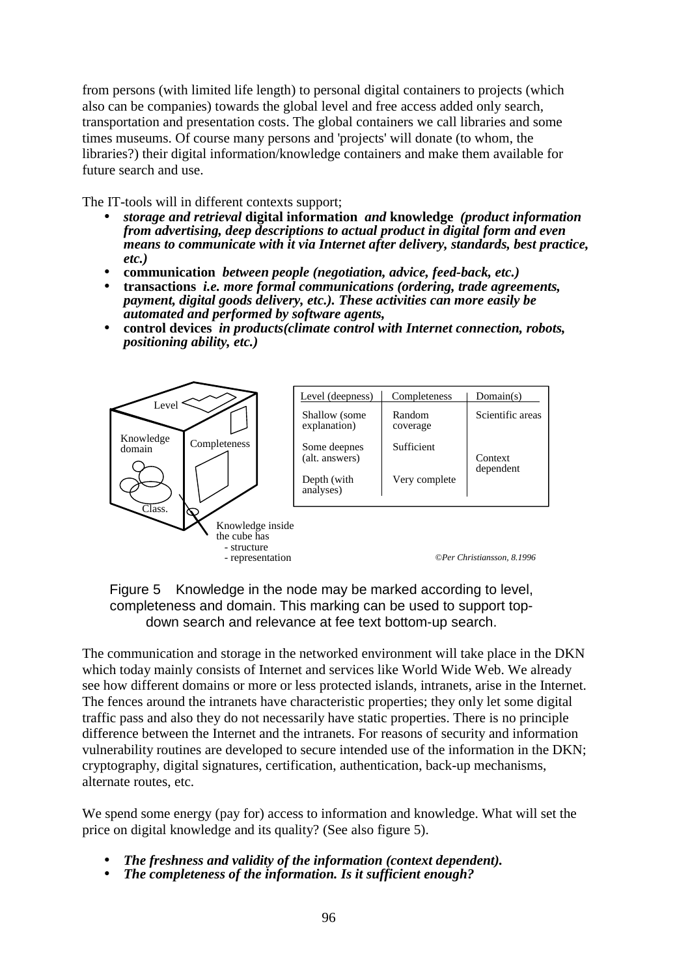from persons (with limited life length) to personal digital containers to projects (which also can be companies) towards the global level and free access added only search, transportation and presentation costs. The global containers we call libraries and some times museums. Of course many persons and 'projects' will donate (to whom, the libraries?) their digital information/knowledge containers and make them available for future search and use.

The IT-tools will in different contexts support;

- *storage and retrieval* **digital information** *and* **knowledge** *(product information from advertising, deep descriptions to actual product in digital form and even means to communicate with it via Internet after delivery, standards, best practice, etc.)*
- **communication** *between people (negotiation, advice, feed-back, etc.)*
- **transactions** *i.e. more formal communications (ordering, trade agreements, payment, digital goods delivery, etc.). These activities can more easily be automated and performed by software agents,*
- **control devices** *in products(climate control with Internet connection, robots, positioning ability, etc.)*

![](_page_7_Figure_6.jpeg)

Figure 5 Knowledge in the node may be marked according to level, completeness and domain. This marking can be used to support topdown search and relevance at fee text bottom-up search.

The communication and storage in the networked environment will take place in the DKN which today mainly consists of Internet and services like World Wide Web. We already see how different domains or more or less protected islands, intranets, arise in the Internet. The fences around the intranets have characteristic properties; they only let some digital traffic pass and also they do not necessarily have static properties. There is no principle difference between the Internet and the intranets. For reasons of security and information vulnerability routines are developed to secure intended use of the information in the DKN; cryptography, digital signatures, certification, authentication, back-up mechanisms, alternate routes, etc.

We spend some energy (pay for) access to information and knowledge. What will set the price on digital knowledge and its quality? (See also figure 5).

- *The freshness and validity of the information (context dependent).*
- *The completeness of the information. Is it sufficient enough?*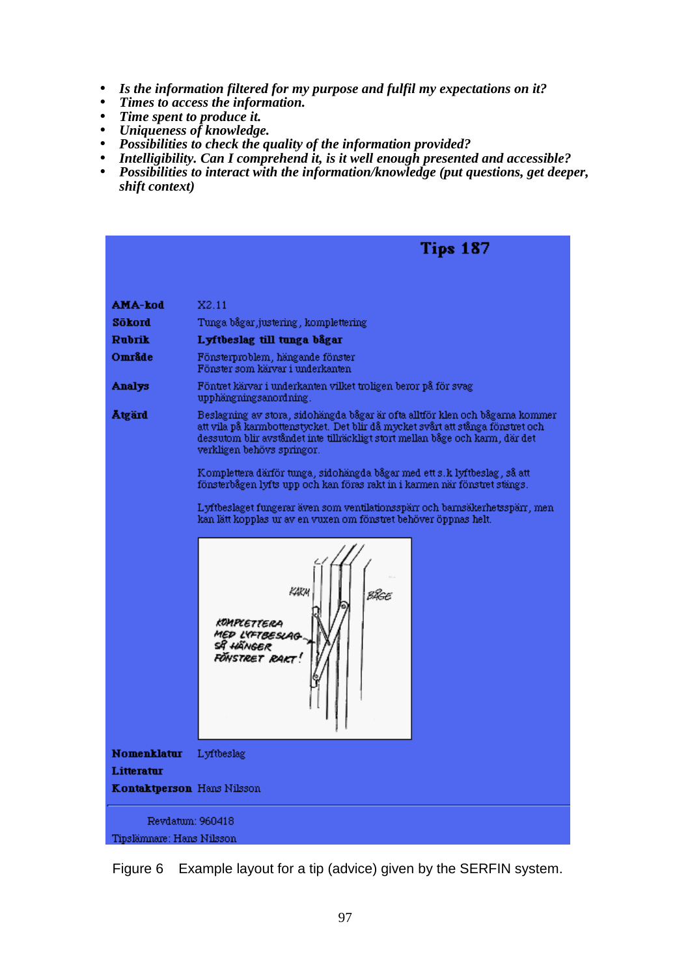- *Is the information filtered for my purpose and fulfil my expectations on it?*
- *Times to access the information.*
- *Time spent to produce it.*
- *Uniqueness of knowledge.*
- *Possibilities to check the quality of the information provided?*
- *Intelligibility. Can I comprehend it, is it well enough presented and accessible?*
- *Possibilities to interact with the information/knowledge (put questions, get deeper, shift context)*

![](_page_8_Figure_7.jpeg)

Figure 6 Example layout for a tip (advice) given by the SERFIN system.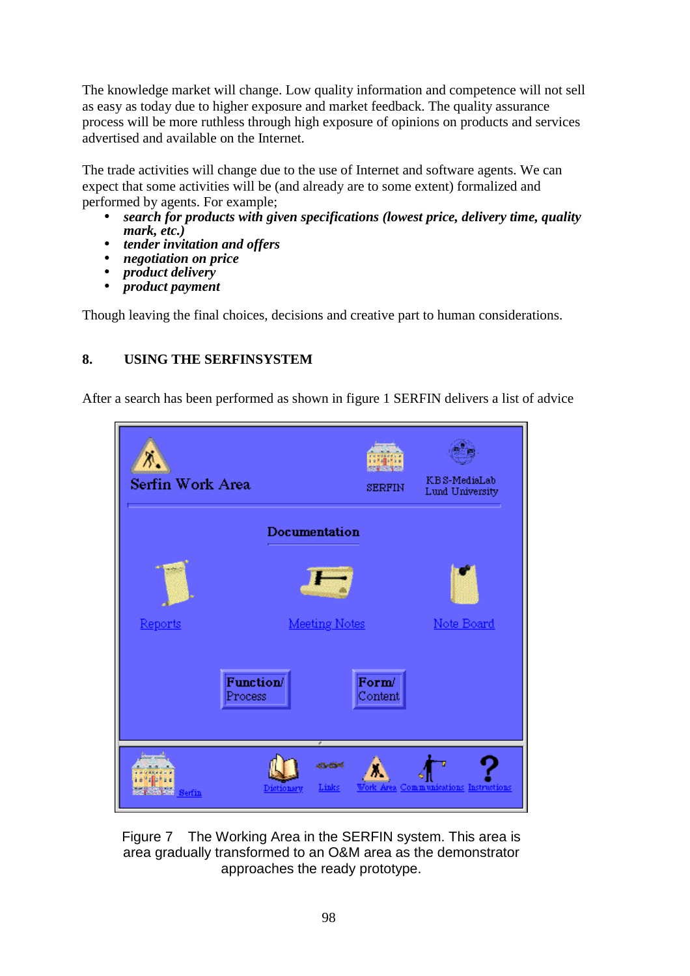The knowledge market will change. Low quality information and competence will not sell as easy as today due to higher exposure and market feedback. The quality assurance process will be more ruthless through high exposure of opinions on products and services advertised and available on the Internet.

The trade activities will change due to the use of Internet and software agents. We can expect that some activities will be (and already are to some extent) formalized and performed by agents. For example;

- *search for products with given specifications (lowest price, delivery time, quality mark, etc.)*
- *tender invitation and offers*
- *negotiation on price*
- *product delivery*
- *product payment*

Though leaving the final choices, decisions and creative part to human considerations.

# **8. USING THE SERFINSYSTEM**

After a search has been performed as shown in figure 1 SERFIN delivers a list of advice

![](_page_9_Picture_10.jpeg)

Figure 7 The Working Area in the SERFIN system. This area is area gradually transformed to an O&M area as the demonstrator approaches the ready prototype.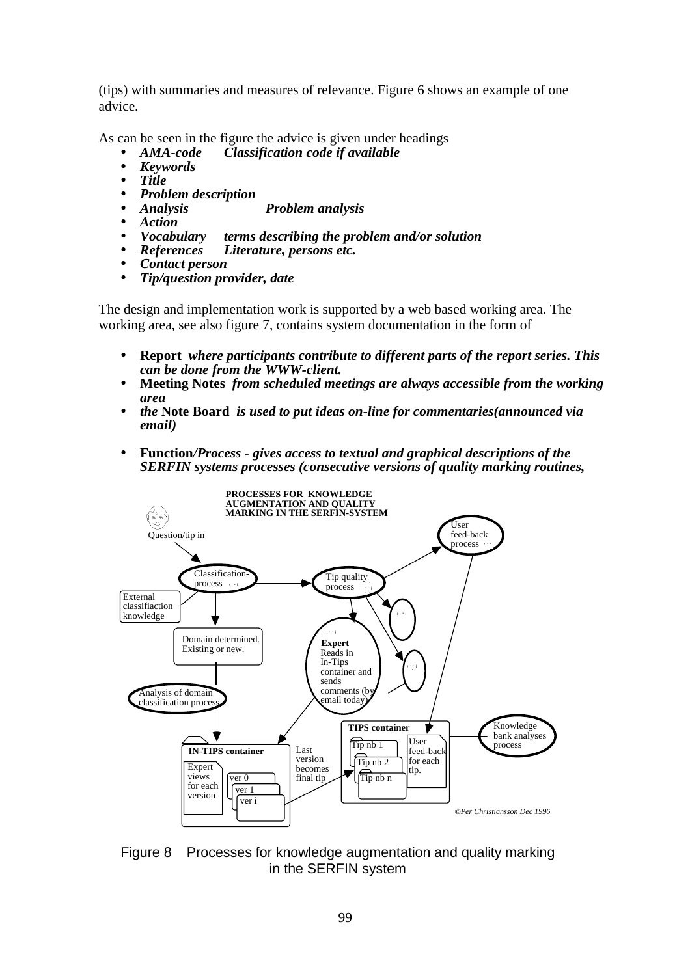(tips) with summaries and measures of relevance. Figure 6 shows an example of one advice.

As can be seen in the figure the advice is given under headings

- *AMA-code Classification code if available*
- *Keywords*
- *Title*
- 
- *Problem description*  • *Analysis Problem analysis*
- 
- *Action*  • *Vocabulary terms describing the problem and/or solution*
- *References Literature, persons etc.*
- *Contact person*
- *Tip/question provider, date*

The design and implementation work is supported by a web based working area. The working area, see also figure 7, contains system documentation in the form of

- **Report** *where participants contribute to different parts of the report series. This can be done from the WWW-client.*
- **Meeting Notes** *from scheduled meetings are always accessible from the working area*
- *the* **Note Board** *is used to put ideas on-line for commentaries(announced via email)*
- **Function***/Process gives access to textual and graphical descriptions of the SERFIN systems processes (consecutive versions of quality marking routines,*

![](_page_10_Figure_17.jpeg)

Figure 8 Processes for knowledge augmentation and quality marking in the SERFIN system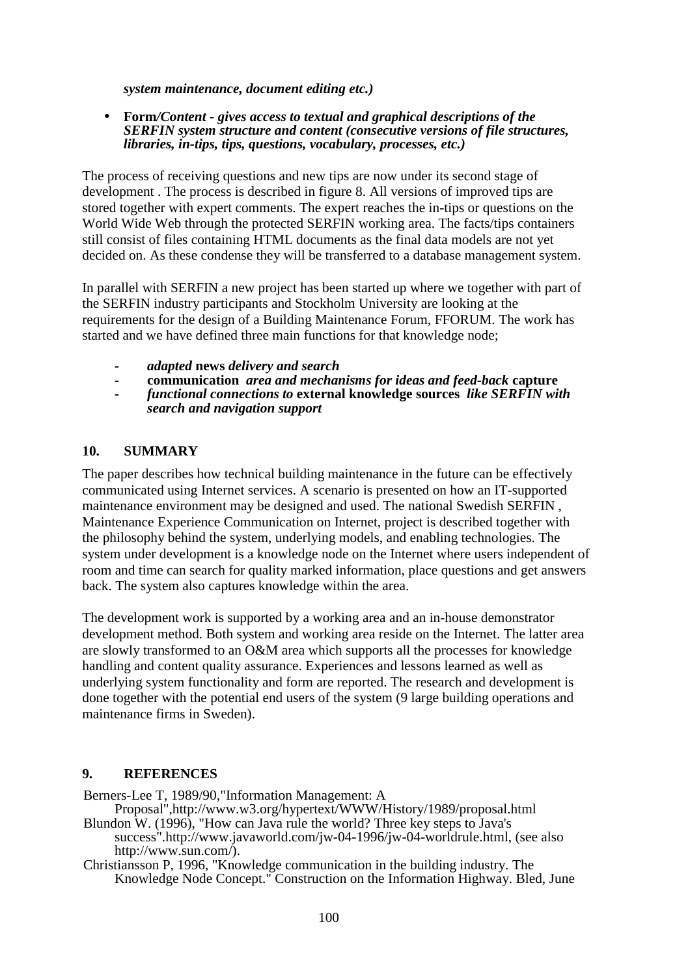*system maintenance, document editing etc.)* 

#### • **Form***/Content - gives access to textual and graphical descriptions of the SERFIN system structure and content (consecutive versions of file structures, libraries, in-tips, tips, questions, vocabulary, processes, etc.)*

The process of receiving questions and new tips are now under its second stage of development . The process is described in figure 8. All versions of improved tips are stored together with expert comments. The expert reaches the in-tips or questions on the World Wide Web through the protected SERFIN working area. The facts/tips containers still consist of files containing HTML documents as the final data models are not yet decided on. As these condense they will be transferred to a database management system.

In parallel with SERFIN a new project has been started up where we together with part of the SERFIN industry participants and Stockholm University are looking at the requirements for the design of a Building Maintenance Forum, FFORUM. The work has started and we have defined three main functions for that knowledge node;

- *adapted* **news** *delivery and search*
- **communication** *area and mechanisms for ideas and feed-back* **capture**
- *functional connections to* **external knowledge sources** *like SERFIN with search and navigation support*

#### **10. SUMMARY**

The paper describes how technical building maintenance in the future can be effectively communicated using Internet services. A scenario is presented on how an IT-supported maintenance environment may be designed and used. The national Swedish SERFIN , Maintenance Experience Communication on Internet, project is described together with the philosophy behind the system, underlying models, and enabling technologies. The system under development is a knowledge node on the Internet where users independent of room and time can search for quality marked information, place questions and get answers back. The system also captures knowledge within the area.

The development work is supported by a working area and an in-house demonstrator development method. Both system and working area reside on the Internet. The latter area are slowly transformed to an O&M area which supports all the processes for knowledge handling and content quality assurance. Experiences and lessons learned as well as underlying system functionality and form are reported. The research and development is done together with the potential end users of the system (9 large building operations and maintenance firms in Sweden).

## **9. REFERENCES**

Berners-Lee T, 1989/90,"Information Management: A

Proposal",http://www.w3.org/hypertext/WWW/History/1989/proposal.html Blundon W. (1996), "How can Java rule the world? Three key steps to Java's success".http://www.javaworld.com/jw-04-1996/jw-04-worldrule.html, (see also

http://www.sun.com/). Christiansson P, 1996, "Knowledge communication in the building industry. The Knowledge Node Concept." Construction on the Information Highway. Bled, June